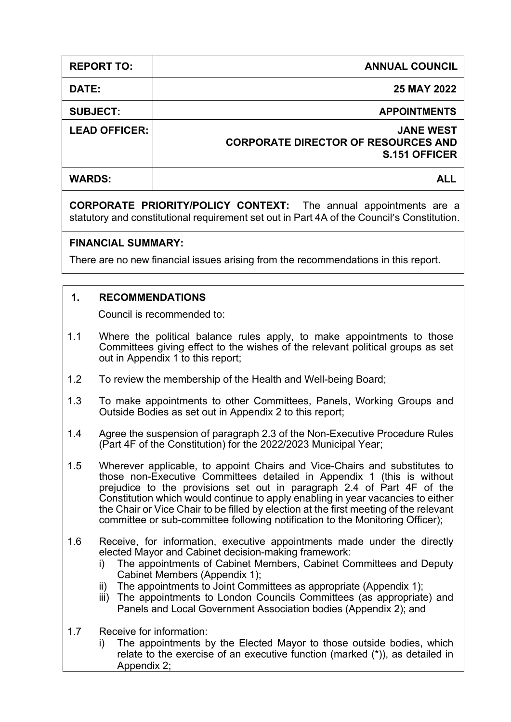| <b>REPORT TO:</b>    | <b>ANNUAL COUNCIL</b>                                                                  |
|----------------------|----------------------------------------------------------------------------------------|
| DATE:                | 25 MAY 2022                                                                            |
| <b>SUBJECT:</b>      | <b>APPOINTMENTS</b>                                                                    |
| <b>LEAD OFFICER:</b> | <b>JANE WEST</b><br><b>CORPORATE DIRECTOR OF RESOURCES AND</b><br><b>S.151 OFFICER</b> |
| <b>WARDS:</b>        |                                                                                        |

**CORPORATE PRIORITY/POLICY CONTEXT:** The annual appointments are a statutory and constitutional requirement set out in Part 4A of the Council's Constitution.

### **FINANCIAL SUMMARY:**

There are no new financial issues arising from the recommendations in this report.

# **1. RECOMMENDATIONS**

Council is recommended to:

- 1.1 Where the political balance rules apply, to make appointments to those Committees giving effect to the wishes of the relevant political groups as set out in Appendix 1 to this report;
- 1.2 To review the membership of the Health and Well-being Board;
- 1.3 To make appointments to other Committees, Panels, Working Groups and Outside Bodies as set out in Appendix 2 to this report;
- 1.4 Agree the suspension of paragraph 2.3 of the Non-Executive Procedure Rules (Part 4F of the Constitution) for the 2022/2023 Municipal Year;
- 1.5 Wherever applicable, to appoint Chairs and Vice-Chairs and substitutes to those non-Executive Committees detailed in Appendix 1 (this is without prejudice to the provisions set out in paragraph 2.4 of Part 4F of the Constitution which would continue to apply enabling in year vacancies to either the Chair or Vice Chair to be filled by election at the first meeting of the relevant committee or sub-committee following notification to the Monitoring Officer);
- 1.6 Receive, for information, executive appointments made under the directly elected Mayor and Cabinet decision-making framework:
	- i) The appointments of Cabinet Members, Cabinet Committees and Deputy Cabinet Members (Appendix 1);
	- ii) The appointments to Joint Committees as appropriate (Appendix 1);
	- iii) The appointments to London Councils Committees (as appropriate) and Panels and Local Government Association bodies (Appendix 2); and
- 1.7 Receive for information:
	- i) The appointments by the Elected Mayor to those outside bodies, which relate to the exercise of an executive function (marked (\*)), as detailed in Appendix 2;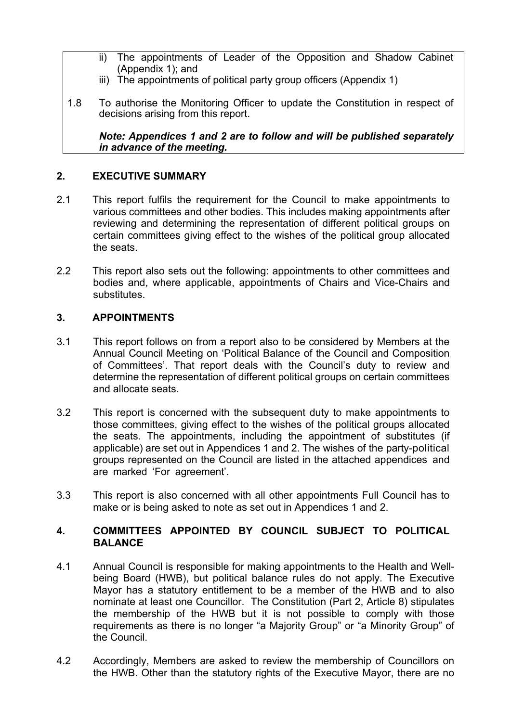- ii) The appointments of Leader of the Opposition and Shadow Cabinet (Appendix 1); and
- iii) The appointments of political party group officers (Appendix 1)
- 1.8 To authorise the Monitoring Officer to update the Constitution in respect of decisions arising from this report.

*Note: Appendices 1 and 2 are to follow and will be published separately in advance of the meeting.*

## **2. EXECUTIVE SUMMARY**

- 2.1 This report fulfils the requirement for the Council to make appointments to various committees and other bodies. This includes making appointments after reviewing and determining the representation of different political groups on certain committees giving effect to the wishes of the political group allocated the seats.
- 2.2 This report also sets out the following: appointments to other committees and bodies and, where applicable, appointments of Chairs and Vice-Chairs and substitutes.

### **3. APPOINTMENTS**

- 3.1 This report follows on from a report also to be considered by Members at the Annual Council Meeting on 'Political Balance of the Council and Composition of Committees'. That report deals with the Council's duty to review and determine the representation of different political groups on certain committees and allocate seats.
- 3.2 This report is concerned with the subsequent duty to make appointments to those committees, giving effect to the wishes of the political groups allocated the seats. The appointments, including the appointment of substitutes (if applicable) are set out in Appendices 1 and 2. The wishes of the party-political groups represented on the Council are listed in the attached appendices and are marked 'For agreement'.
- 3.3 This report is also concerned with all other appointments Full Council has to make or is being asked to note as set out in Appendices 1 and 2.

### **4. COMMITTEES APPOINTED BY COUNCIL SUBJECT TO POLITICAL BALANCE**

- 4.1 Annual Council is responsible for making appointments to the Health and Wellbeing Board (HWB), but political balance rules do not apply. The Executive Mayor has a statutory entitlement to be a member of the HWB and to also nominate at least one Councillor. The Constitution (Part 2, Article 8) stipulates the membership of the HWB but it is not possible to comply with those requirements as there is no longer "a Majority Group" or "a Minority Group" of the Council.
- 4.2 Accordingly, Members are asked to review the membership of Councillors on the HWB. Other than the statutory rights of the Executive Mayor, there are no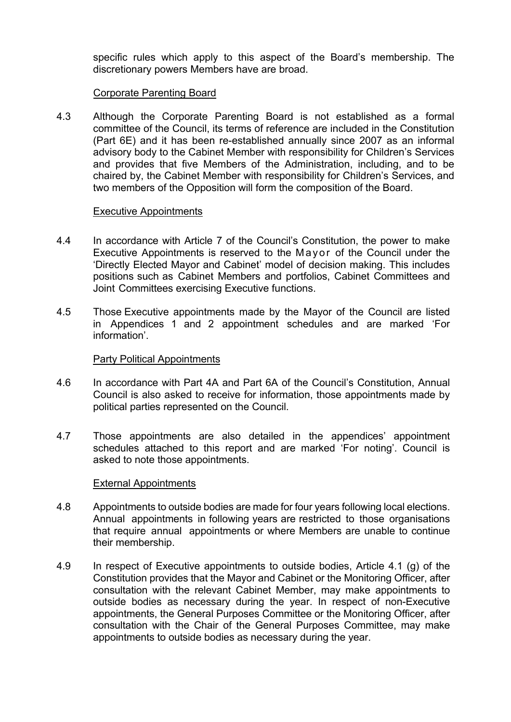specific rules which apply to this aspect of the Board's membership. The discretionary powers Members have are broad.

### Corporate Parenting Board

4.3 Although the Corporate Parenting Board is not established as a formal committee of the Council, its terms of reference are included in the Constitution (Part 6E) and it has been re-established annually since 2007 as an informal advisory body to the Cabinet Member with responsibility for Children's Services and provides that five Members of the Administration, including, and to be chaired by, the Cabinet Member with responsibility for Children's Services, and two members of the Opposition will form the composition of the Board.

#### Executive Appointments

- 4.4 In accordance with Article 7 of the Council's Constitution, the power to make Executive Appointments is reserved to the Mayor of the Council under the 'Directly Elected Mayor and Cabinet' model of decision making. This includes positions such as Cabinet Members and portfolios, Cabinet Committees and Joint Committees exercising Executive functions.
- 4.5 Those Executive appointments made by the Mayor of the Council are listed in Appendices 1 and 2 appointment schedules and are marked 'For information'.

### Party Political Appointments

- 4.6 In accordance with Part 4A and Part 6A of the Council's Constitution, Annual Council is also asked to receive for information, those appointments made by political parties represented on the Council.
- 4.7 Those appointments are also detailed in the appendices' appointment schedules attached to this report and are marked 'For noting'. Council is asked to note those appointments.

#### External Appointments

- 4.8 Appointments to outside bodies are made for four years following local elections. Annual appointments in following years are restricted to those organisations that require annual appointments or where Members are unable to continue their membership.
- 4.9 In respect of Executive appointments to outside bodies, Article 4.1 (g) of the Constitution provides that the Mayor and Cabinet or the Monitoring Officer, after consultation with the relevant Cabinet Member, may make appointments to outside bodies as necessary during the year. In respect of non-Executive appointments, the General Purposes Committee or the Monitoring Officer, after consultation with the Chair of the General Purposes Committee, may make appointments to outside bodies as necessary during the year.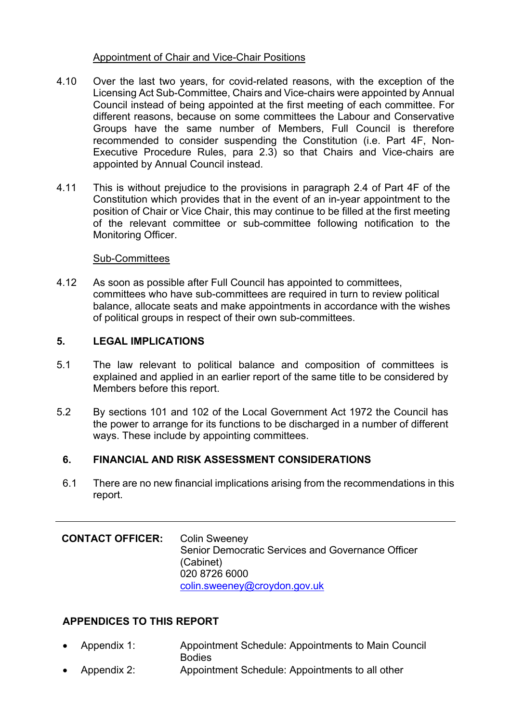### Appointment of Chair and Vice-Chair Positions

- 4.10 Over the last two years, for covid-related reasons, with the exception of the Licensing Act Sub-Committee, Chairs and Vice-chairs were appointed by Annual Council instead of being appointed at the first meeting of each committee. For different reasons, because on some committees the Labour and Conservative Groups have the same number of Members, Full Council is therefore recommended to consider suspending the Constitution (i.e. Part 4F, Non-Executive Procedure Rules, para 2.3) so that Chairs and Vice-chairs are appointed by Annual Council instead.
- 4.11 This is without prejudice to the provisions in paragraph 2.4 of Part 4F of the Constitution which provides that in the event of an in-year appointment to the position of Chair or Vice Chair, this may continue to be filled at the first meeting of the relevant committee or sub-committee following notification to the Monitoring Officer.

### Sub-Committees

4.12 As soon as possible after Full Council has appointed to committees, committees who have sub-committees are required in turn to review political balance, allocate seats and make appointments in accordance with the wishes of political groups in respect of their own sub-committees.

# **5. LEGAL IMPLICATIONS**

- 5.1 The law relevant to political balance and composition of committees is explained and applied in an earlier report of the same title to be considered by Members before this report.
- 5.2 By sections 101 and 102 of the Local Government Act 1972 the Council has the power to arrange for its functions to be discharged in a number of different ways. These include by appointing committees.

# **6. FINANCIAL AND RISK ASSESSMENT CONSIDERATIONS**

6.1 There are no new financial implications arising from the recommendations in this report.

| <b>CONTACT OFFICER:</b> | <b>Colin Sweeney</b>                              |
|-------------------------|---------------------------------------------------|
|                         | Senior Democratic Services and Governance Officer |
|                         | (Cabinet)                                         |
|                         | 020 8726 6000                                     |
|                         | colin.sweeney@croydon.gov.uk                      |

# **APPENDICES TO THIS REPORT**

- Appendix 1: Appointment Schedule: Appointments to Main Council **Bodies**
- Appendix 2: Appointment Schedule: Appointments to all other